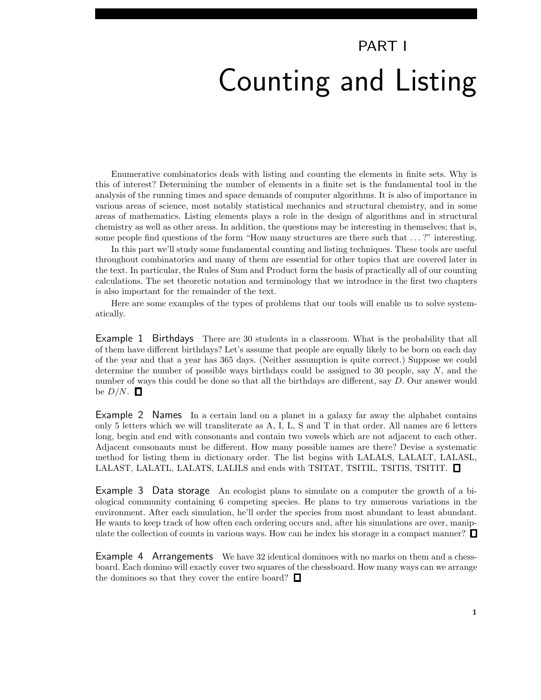## PART I Counting and Listing

Enumerative combinatorics deals with listing and counting the elements in finite sets. Why is this of interest? Determining the number of elements in a finite set is the fundamental tool in the analysis of the running times and space demands of computer algorithms. It is also of importance in various areas of science, most notably statistical mechanics and structural chemistry, and in some areas of mathematics. Listing elements plays a role in the design of algorithms and in structural chemistry as well as other areas. In addition, the questions may be interesting in themselves; that is, some people find questions of the form "How many structures are there such that . . . ?" interesting.

In this part we'll study some fundamental counting and listing techniques. These tools are useful throughout combinatorics and many of them are essential for other topics that are covered later in the text. In particular, the Rules of Sum and Product form the basis of practically all of our counting calculations. The set theoretic notation and terminology that we introduce in the first two chapters is also important for the remainder of the text.

Here are some examples of the types of problems that our tools will enable us to solve systematically.

Example 1 Birthdays There are 30 students in a classroom. What is the probability that all of them have different birthdays? Let's assume that people are equally likely to be born on each day of the year and that a year has 365 days. (Neither assumption is quite correct.) Suppose we could determine the number of possible ways birthdays could be assigned to 30 people, say  $N$ , and the number of ways this could be done so that all the birthdays are different, say D. Our answer would be  $D/N$ .  $\Box$ 

Example 2 Names In a certain land on a planet in a galaxy far away the alphabet contains only 5 letters which we will transliterate as A, I, L, S and T in that order. All names are 6 letters long, begin and end with consonants and contain two vowels which are not adjacent to each other. Adjacent consonants must be different. How many possible names are there? Devise a systematic method for listing them in dictionary order. The list begins with LALALS, LALALT, LALASL, LALAST, LALATL, LALATS, LALILS and ends with TSITAT, TSITIL, TSITIS, TSITIT.  $\square$ 

Example 3 Data storage An ecologist plans to simulate on a computer the growth of a biological community containing 6 competing species. He plans to try numerous variations in the environment. After each simulation, he'll order the species from most abundant to least abundant. He wants to keep track of how often each ordering occurs and, after his simulations are over, manipulate the collection of counts in various ways. How can he index his storage in a compact manner?  $\Box$ 

Example 4 Arrangements We have 32 identical dominoes with no marks on them and a chessboard. Each domino will exactly cover two squares of the chessboard. How many ways can we arrange the dominoes so that they cover the entire board?  $\Box$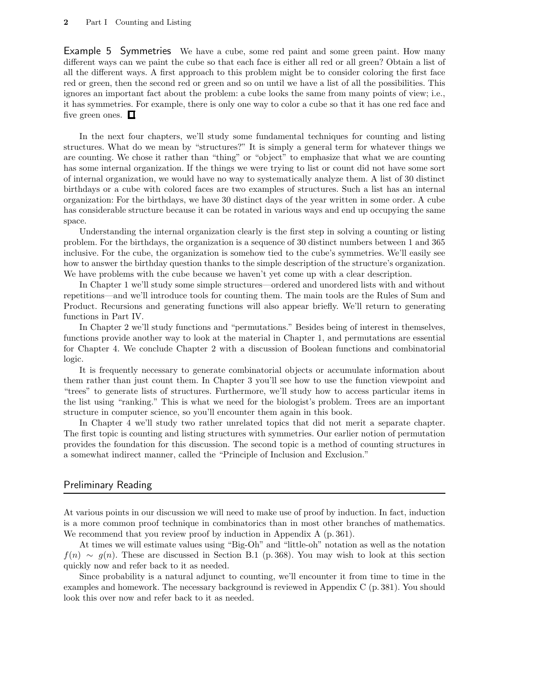Example 5 Symmetries We have a cube, some red paint and some green paint. How many different ways can we paint the cube so that each face is either all red or all green? Obtain a list of all the different ways. A first approach to this problem might be to consider coloring the first face red or green, then the second red or green and so on until we have a list of all the possibilities. This ignores an important fact about the problem: a cube looks the same from many points of view; i.e., it has symmetries. For example, there is only one way to color a cube so that it has one red face and five green ones.  $\Box$ 

In the next four chapters, we'll study some fundamental techniques for counting and listing structures. What do we mean by "structures?" It is simply a general term for whatever things we are counting. We chose it rather than "thing" or "object" to emphasize that what we are counting has some internal organization. If the things we were trying to list or count did not have some sort of internal organization, we would have no way to systematically analyze them. A list of 30 distinct birthdays or a cube with colored faces are two examples of structures. Such a list has an internal organization: For the birthdays, we have 30 distinct days of the year written in some order. A cube has considerable structure because it can be rotated in various ways and end up occupying the same space.

Understanding the internal organization clearly is the first step in solving a counting or listing problem. For the birthdays, the organization is a sequence of 30 distinct numbers between 1 and 365 inclusive. For the cube, the organization is somehow tied to the cube's symmetries. We'll easily see how to answer the birthday question thanks to the simple description of the structure's organization. We have problems with the cube because we haven't yet come up with a clear description.

In Chapter 1 we'll study some simple structures—ordered and unordered lists with and without repetitions—and we'll introduce tools for counting them. The main tools are the Rules of Sum and Product. Recursions and generating functions will also appear briefly. We'll return to generating functions in Part IV.

In Chapter 2 we'll study functions and "permutations." Besides being of interest in themselves, functions provide another way to look at the material in Chapter 1, and permutations are essential for Chapter 4. We conclude Chapter 2 with a discussion of Boolean functions and combinatorial logic.

It is frequently necessary to generate combinatorial objects or accumulate information about them rather than just count them. In Chapter 3 you'll see how to use the function viewpoint and "trees" to generate lists of structures. Furthermore, we'll study how to access particular items in the list using "ranking." This is what we need for the biologist's problem. Trees are an important structure in computer science, so you'll encounter them again in this book.

In Chapter 4 we'll study two rather unrelated topics that did not merit a separate chapter. The first topic is counting and listing structures with symmetries. Our earlier notion of permutation provides the foundation for this discussion. The second topic is a method of counting structures in a somewhat indirect manner, called the "Principle of Inclusion and Exclusion."

## Preliminary Reading

At various points in our discussion we will need to make use of proof by induction. In fact, induction is a more common proof technique in combinatorics than in most other branches of mathematics. We recommend that you review proof by induction in Appendix A (p. 361).

At times we will estimate values using "Big-Oh" and "little-oh" notation as well as the notation  $f(n) \sim g(n)$ . These are discussed in Section B.1 (p. 368). You may wish to look at this section quickly now and refer back to it as needed.

Since probability is a natural adjunct to counting, we'll encounter it from time to time in the examples and homework. The necessary background is reviewed in Appendix C (p. 381). You should look this over now and refer back to it as needed.